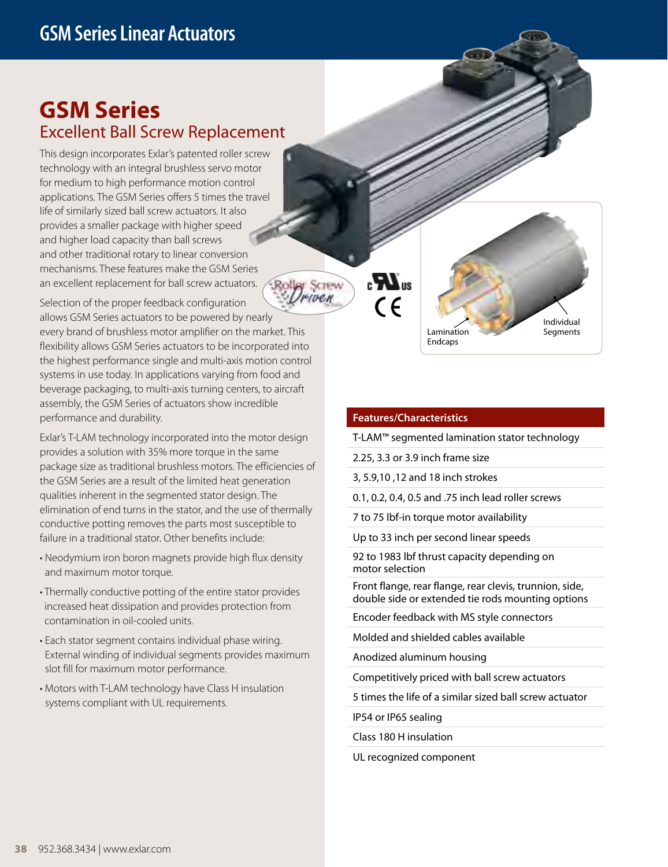## **GSM Series**  Excellent Ball Screw Replacement

This design incorporates Exlar's patented roller screw technology with an integral brushless servo motor for medium to high performance motion control applications. The GSM Series offers 5 times the travel life of similarly sized ball screw actuators. It also provides a smaller package with higher speed and higher load capacity than ball screws and other traditional rotary to linear conversion mechanisms. These features make the GSM Series an excellent replacement for ball screw actuators.

Selection of the proper feedback configuration

allows GSM Series actuators to be powered by nearly every brand of brushless motor amplifier on the market. This flexibility allows GSM Series actuators to be incorporated into the highest performance single and multi-axis motion control systems in use today. In applications varying from food and beverage packaging, to multi-axis turning centers, to aircraft assembly, the GSM Series of actuators show incredible performance and durability.

Exlar's T-LAM technology incorporated into the motor design provides a solution with 35% more torque in the same package size as traditional brushless motors. The efficiencies of the GSM Series are a result of the limited heat generation qualities inherent in the segmented stator design. The elimination of end turns in the stator, and the use of thermally conductive potting removes the parts most susceptible to failure in a traditional stator. Other benefits include:

- Neodymium iron boron magnets provide high flux density and maximum motor torque.
- Thermally conductive potting of the entire stator provides increased heat dissipation and provides protection from contamination in oil-cooled units.
- Each stator segment contains individual phase wiring. External winding of individual segments provides maximum slot fill for maximum motor performance.
- Motors with T-LAM technology have Class H insulation systems compliant with UL requirements.

**Rolley Screw** HYUEN

Lamination **Endcaps** Individual **Segments** 

## **Features/Characteristics**

 $\boldsymbol{H}$ <sub>us</sub>

 $\epsilon$ 

T-LAM™ segmented lamination stator technology

2.25, 3.3 or 3.9 inch frame size

3, 5.9,10 ,12 and 18 inch strokes

0.1, 0.2, 0.4, 0.5 and .75 inch lead roller screws

7 to 75 lbf-in torque motor availability

Up to 33 inch per second linear speeds

92 to 1983 lbf thrust capacity depending on motor selection

Front flange, rear flange, rear clevis, trunnion, side, double side or extended tie rods mounting options

Encoder feedback with MS style connectors

Molded and shielded cables available

Anodized aluminum housing

Competitively priced with ball screw actuators

5 times the life of a similar sized ball screw actuator

IP54 or IP65 sealing

Class 180 H insulation

UL recognized component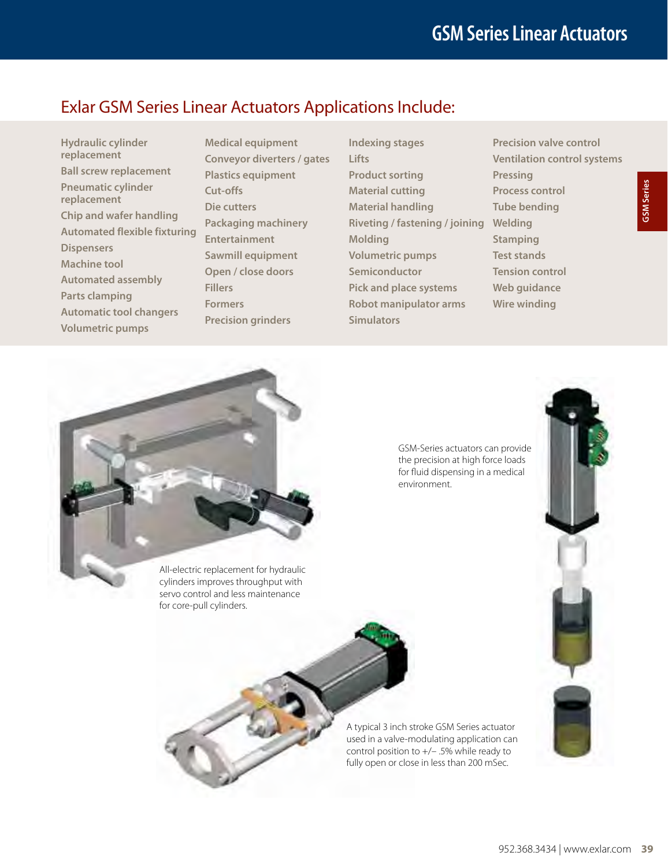## Exlar GSM Series Linear Actuators Applications Include:

- **Hydraulic cylinder replacement Ball screw replacement Pneumatic cylinder replacement Chip and wafer handling Automated flexible fixturing Dispensers Machine tool Automated assembly Parts clamping Automatic tool changers Volumetric pumps**
- **Medical equipment Conveyor diverters / gates Plastics equipment Cut-offs Die cutters Packaging machinery Entertainment Sawmill equipment Open / close doors Fillers Formers Precision grinders**
- **Indexing stages Lifts Product sorting Material cutting Material handling Riveting / fastening / joining Welding Molding Volumetric pumps Semiconductor Pick and place systems Robot manipulator arms Simulators**
- **Precision valve control Ventilation control systems Pressing Process control Tube bending Stamping Test stands Tension control Web guidance Wire winding**

GSM-Series actuators can provide the precision at high force loads for fluid dispensing in a medical environment.



GSM Series



servo control and less maintenance for core-pull cylinders.

> A typical 3 inch stroke GSM Series actuator used in a valve-modulating application can control position to +/– .5% while ready to fully open or close in less than 200 mSec.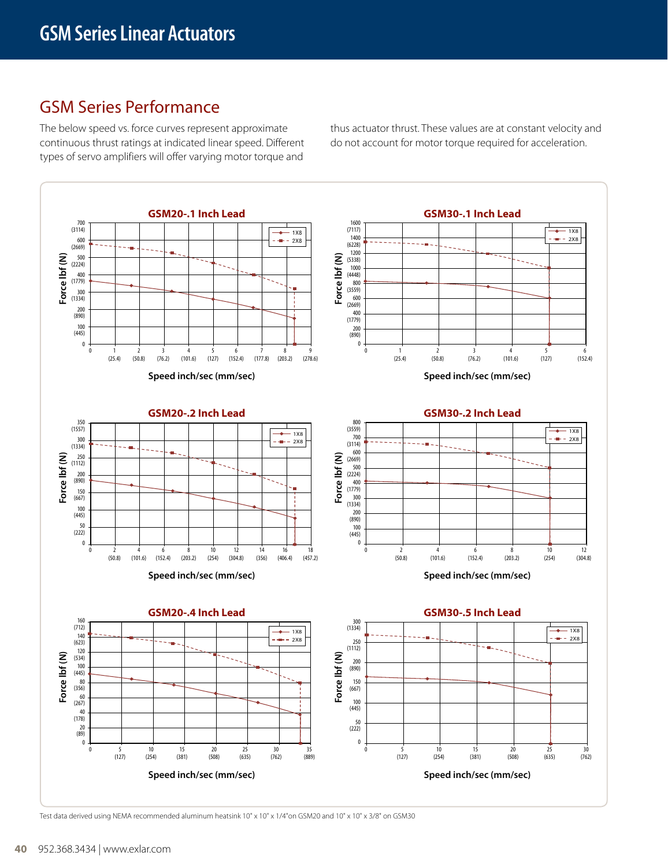## GSM Series Performance

The below speed vs. force curves represent approximate continuous thrust ratings at indicated linear speed. Different types of servo amplifiers will offer varying motor torque and

thus actuator thrust. These values are at constant velocity and do not account for motor torque required for acceleration.



Test data derived using NEMA recommended aluminum heatsink 10" x 10" x 1/4"on GSM20 and 10" x 10" x 3/8" on GSM30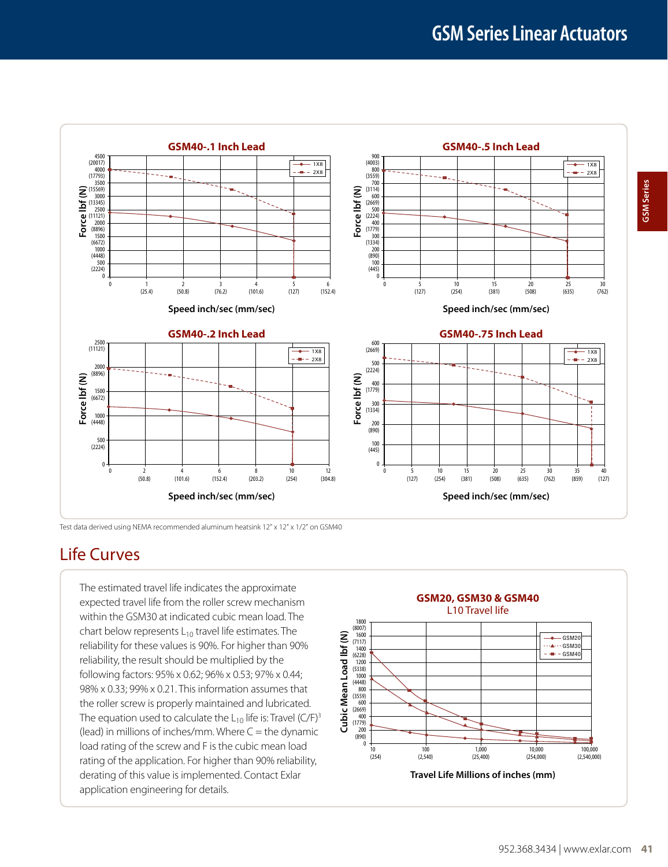

Test data derived using NEMA recommended aluminum heatsink 12" x 12" x 1/2" on GSM40

## Life Curves

The estimated travel life indicates the approximate expected travel life from the roller screw mechanism within the GSM30 at indicated cubic mean load. The chart below represents  $L_{10}$  travel life estimates. The reliability for these values is 90%. For higher than 90% reliability, the result should be multiplied by the following factors: 95% x 0.62; 96% x 0.53; 97% x 0.44; 98% x 0.33; 99% x 0.21. This information assumes that the roller screw is properly maintained and lubricated. The equation used to calculate the  $L_{10}$  life is: Travel (C/F)<sup>3</sup> (lead) in millions of inches/mm. Where  $C =$  the dynamic load rating of the screw and F is the cubic mean load rating of the application. For higher than 90% reliability, derating of this value is implemented. Contact Exlar application engineering for details.

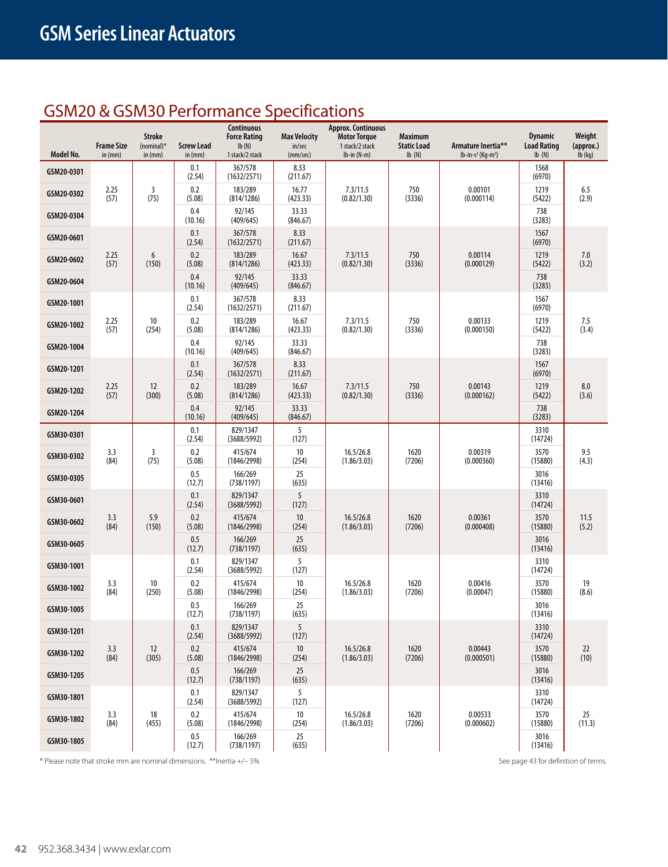## GSM20 & GSM30 Performance Specifications

| Model No.  | <b>Frame Size</b><br>in (mm) | <b>Stroke</b><br>$(nominal)*$<br>in $(mm)$ | <b>Screw Lead</b><br>in $(mm)$ | Continuous<br><b>Force Rating</b><br>Ib(N)<br>1 stack/2 stack | <b>Max Velocity</b><br>in/sec<br>(mm/sec)                     | <b>Approx. Continuous</b><br>Motor Torque<br>1 stack/2 stack<br>$lb-in(N-m)$ | <b>Maximum</b><br><b>Static Load</b><br>Ib(N) | Armature Inertia**<br>$lb-in-s^2$ (Kg-m <sup>2</sup> ) | <b>Dynamic</b><br><b>Load Rating</b><br>lb(N) | Weight<br>(approx.)<br>$lb$ (kg) |
|------------|------------------------------|--------------------------------------------|--------------------------------|---------------------------------------------------------------|---------------------------------------------------------------|------------------------------------------------------------------------------|-----------------------------------------------|--------------------------------------------------------|-----------------------------------------------|----------------------------------|
| GSM20-0301 |                              |                                            | 0.1<br>(2.54)                  | 367/578<br>(1632/2571)                                        | 8.33<br>(211.67)                                              |                                                                              |                                               |                                                        | 1568<br>(6970)                                |                                  |
| GSM20-0302 | 2.25<br>(57)                 | $\overline{3}$<br>(75)                     | 0.2<br>(5.08)                  | 183/289<br>(814/1286)                                         | 16.77<br>(423.33)                                             | 7.3/11.5<br>(0.82/1.30)                                                      | 750<br>(3336)                                 | 0.00101<br>(0.000114)                                  | 1219<br>(5422)                                | 6.5<br>(2.9)                     |
| GSM20-0304 |                              |                                            | 0.4<br>(10.16)                 | 92/145<br>(409/645)                                           | 33.33<br>(846.67)                                             |                                                                              |                                               |                                                        | 738<br>(3283)                                 |                                  |
| GSM20-0601 |                              |                                            | 0.1<br>(2.54)                  | 367/578<br>(1632/2571)                                        | 8.33<br>(211.67)                                              |                                                                              |                                               |                                                        | 1567<br>(6970)                                |                                  |
| GSM20-0602 | 2.25<br>(57)                 | 6<br>(150)                                 | 0.2<br>(5.08)                  | 183/289<br>(814/1286)                                         | 16.67<br>(423.33)                                             | 7.3/11.5<br>(0.82/1.30)                                                      | 750<br>(3336)                                 | 0.00114<br>(0.000129)                                  | 1219<br>(5422)                                | 7.0<br>(3.2)                     |
| GSM20-0604 |                              |                                            | 0.4<br>(10.16)                 | 92/145<br>(409/645)                                           | 33.33<br>(846.67)                                             |                                                                              |                                               |                                                        | 738<br>(3283)                                 |                                  |
| GSM20-1001 |                              |                                            | 0.1<br>(2.54)                  | 367/578<br>(1632/2571)                                        | 8.33<br>(211.67)                                              |                                                                              |                                               |                                                        | 1567<br>(6970)                                |                                  |
| GSM20-1002 | 2.25<br>(57)                 | 10<br>(254)                                | 0.2<br>(5.08)                  | 183/289<br>(814/1286)                                         | 750<br>16.67<br>7.3/11.5<br>(423.33)<br>(0.82/1.30)<br>(3336) | 0.00133<br>(0.000150)                                                        | 1219<br>(5422)                                | 7.5<br>(3.4)                                           |                                               |                                  |
| GSM20-1004 |                              |                                            | 0.4<br>(10.16)                 | 92/145<br>(409/645)                                           | 33.33<br>(846.67)                                             |                                                                              |                                               |                                                        | 738<br>(3283)                                 |                                  |
| GSM20-1201 |                              |                                            | 0.1<br>(2.54)                  | 367/578<br>(1632/2571)                                        | 8.33<br>(211.67)                                              |                                                                              |                                               |                                                        | 1567<br>(6970)                                |                                  |
| GSM20-1202 | 2.25<br>(57)                 | 12<br>(300)                                | 0.2<br>(5.08)                  | 183/289<br>(814/1286)                                         | 16.67<br>(423.33)                                             | 7.3/11.5<br>(0.82/1.30)                                                      | 750<br>(3336)                                 | 0.00143<br>(0.000162)                                  | 1219<br>(5422)                                | 8.0<br>(3.6)                     |
| GSM20-1204 |                              |                                            | 0.4<br>(10.16)                 | 92/145<br>(409/645)                                           | 33.33<br>(846.67)                                             |                                                                              |                                               |                                                        | 738<br>(3283)                                 |                                  |
| GSM30-0301 |                              | 3.3<br>3<br>(84)<br>(75)                   | 0.1<br>(2.54)                  | 829/1347<br>(3688/5992)                                       | 5<br>(127)                                                    |                                                                              |                                               |                                                        | 3310<br>(14724)                               |                                  |
| GSM30-0302 |                              |                                            | 0.2<br>(5.08)                  | 415/674<br>(1846/2998)                                        | 10<br>(254)                                                   | 16.5/26.8<br>(1.86/3.03)                                                     | 1620<br>(7206)                                | 0.00319<br>(0.000360)                                  | 3570<br>(15880)                               | 9.5<br>(4.3)                     |
| GSM30-0305 |                              |                                            | 0.5<br>(12.7)                  | 166/269<br>(738/1197)                                         | 25<br>(635)                                                   |                                                                              |                                               |                                                        | 3016<br>(13416)                               |                                  |
| GSM30-0601 |                              |                                            | 0.1<br>(2.54)                  | 829/1347<br>(3688/5992)                                       | 5<br>(127)                                                    |                                                                              |                                               |                                                        | 3310<br>(14724)                               | 11.5<br>(5.2)                    |
| GSM30-0602 | 3.3<br>(84)                  | 5.9<br>(150)                               | 0.2<br>(5.08)                  | 415/674<br>(1846/2998)                                        | 10<br>(254)                                                   | 16.5/26.8<br>(1.86/3.03)                                                     | 1620<br>(7206)                                | 0.00361<br>(0.000408)                                  | 3570<br>(15880)                               |                                  |
| GSM30-0605 |                              |                                            | 0.5<br>(12.7)                  | 166/269<br>(738/1197)                                         | 25<br>(635)                                                   |                                                                              |                                               |                                                        | 3016<br>(13416)                               |                                  |
| GSM30-1001 |                              |                                            | 0.1<br>(2.54)                  | 829/1347<br>(3688/5992)                                       | 5<br>(127)                                                    |                                                                              |                                               |                                                        | 3310<br>(14724)                               |                                  |
| GSM30-1002 | 3.3<br>(84)                  | 10<br>(250)                                | 0.2<br>(5.08)                  | 415/674<br>(1846/2998)                                        | 10<br>(254)                                                   | 16.5/26.8<br>(1.86/3.03)                                                     | 1620<br>(7206)                                | 0.00416<br>(0.00047)                                   | 3570<br>(15880)                               | 19<br>(8.6)                      |
| GSM30-1005 |                              |                                            | 0.5<br>(12.7)                  | 166/269<br>(738/1197)                                         | 25<br>(635)                                                   |                                                                              |                                               |                                                        | 3016<br>(13416)                               |                                  |
| GSM30-1201 |                              |                                            | 0.1<br>(2.54)                  | 829/1347<br>(3688/5992)                                       | 5<br>(127)                                                    |                                                                              |                                               |                                                        | 3310<br>(14724)                               |                                  |
| GSM30-1202 | 3.3<br>(84)                  | 12<br>(305)                                | 0.2<br>(5.08)                  | 415/674<br>(1846/2998)                                        | 10<br>(254)                                                   | 16.5/26.8<br>(1.86/3.03)                                                     | 1620<br>(7206)                                | 0.00443<br>(0.000501)                                  | 3570<br>(15880)                               | 22<br>(10)                       |
| GSM30-1205 |                              |                                            | 0.5<br>(12.7)                  | 166/269<br>(738/1197)                                         | 25<br>(635)                                                   |                                                                              |                                               |                                                        | 3016<br>(13416)                               |                                  |
| GSM30-1801 |                              |                                            | 0.1<br>(2.54)                  | 829/1347<br>(3688/5992)                                       | 5<br>(127)                                                    |                                                                              |                                               |                                                        | 3310<br>(14724)                               |                                  |
| GSM30-1802 | 3.3<br>(84)                  | 18<br>(455)                                | 0.2<br>(5.08)                  | 415/674<br>(1846/2998)                                        | 10<br>(254)                                                   | 16.5/26.8<br>(1.86/3.03)                                                     | 1620<br>(7206)                                | 0.00533<br>(0.000602)                                  | 3570<br>(15880)                               | 25<br>(11.3)                     |
| GSM30-1805 |                              |                                            | 0.5<br>(12.7)                  | 166/269<br>(738/1197)                                         | 25<br>(635)                                                   |                                                                              |                                               |                                                        | 3016<br>(13416)                               |                                  |

\* Please note that stroke mm are nominal dimensions. \*\*Inertia +/- 5% See page 43 for definition of terms.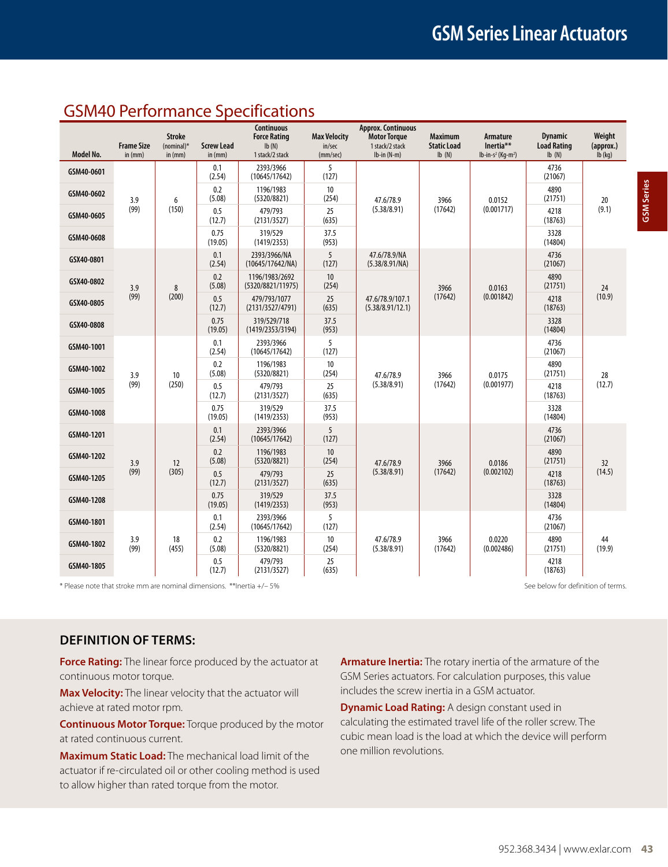## GSM40 Performance Specifications

|            | <b>Frame Size</b> | <b>Stroke</b><br>$(nominal)^*$ | <b>Screw Lead</b> | <b>Continuous</b><br><b>Force Rating</b><br>Ib(N) | <b>Max Velocity</b><br>in/sec | <b>Approx. Continuous</b><br><b>Motor Torque</b><br>1 stack/2 stack | <b>Maximum</b><br><b>Static Load</b> | Armature<br>Inertia**            | <b>Dynamic</b><br><b>Load Rating</b> | Weight<br>(approx.) |
|------------|-------------------|--------------------------------|-------------------|---------------------------------------------------|-------------------------------|---------------------------------------------------------------------|--------------------------------------|----------------------------------|--------------------------------------|---------------------|
| Model No.  | in (mm)           | in $(mm)$                      | in (mm)           | 1 stack/2 stack                                   | (mm/sec)                      | $lb-in(N-m)$                                                        | Ib(N)                                | $lb-in-s^2$ (Kq-m <sup>2</sup> ) | Ib(N)                                | $lb$ (kg)           |
| GSM40-0601 |                   |                                | 0.1<br>(2.54)     | 2393/3966<br>(10645/17642)                        | 5<br>(127)                    |                                                                     |                                      |                                  | 4736<br>(21067)                      |                     |
| GSM40-0602 | 3.9               | 6                              | 0.2<br>(5.08)     | 1196/1983<br>(5320/8821)                          | 10<br>(254)                   | 47.6/78.9                                                           | 3966                                 | 0.0152                           | 4890<br>(21751)                      | 20                  |
| GSM40-0605 | (99)              | (150)                          | 0.5<br>(12.7)     | 479/793<br>(2131/3527)                            | 25<br>(635)                   | (5.38/8.91)                                                         | (17642)                              | (0.001717)                       | 4218<br>(18763)                      | (9.1)               |
| GSM40-0608 |                   |                                | 0.75<br>(19.05)   | 319/529<br>(1419/2353)                            | 37.5<br>(953)                 |                                                                     |                                      |                                  | 3328<br>(14804)                      |                     |
| GSX40-0801 |                   |                                | 0.1<br>(2.54)     | 2393/3966/NA<br>(10645/17642/NA)                  | 5<br>(127)                    | 47.6/78.9/NA<br>(5.38/8.91/NA)                                      |                                      |                                  | 4736<br>(21067)                      |                     |
| GSX40-0802 | 3.9               | 8                              | 0.2<br>(5.08)     | 1196/1983/2692<br>(5320/8821/11975)               | 10 <sup>°</sup><br>(254)      |                                                                     | 3966                                 | 0.0163<br>(0.001842)             | 4890<br>(21751)                      | 24                  |
| GSX40-0805 | (99)              | (200)                          | 0.5<br>(12.7)     | 479/793/1077<br>(2131/3527/4791)                  | 25<br>(635)                   | 47.6/78.9/107.1<br>(5.38/8.91/12.1)                                 | (17642)                              |                                  | 4218<br>(18763)                      | (10.9)              |
| GSX40-0808 |                   |                                | 0.75<br>(19.05)   | 319/529/718<br>(1419/2353/3194)                   | 37.5<br>(953)                 |                                                                     |                                      |                                  | 3328<br>(14804)                      |                     |
| GSM40-1001 |                   |                                | 0.1<br>(2.54)     | 2393/3966<br>(10645/17642)                        | 5<br>(127)                    | 47.6/78.9<br>(5.38/8.91)                                            | 3966<br>(17642)                      |                                  | 4736<br>(21067)                      | 28<br>(12.7)        |
| GSM40-1002 | 3.9               | 10                             | 0.2<br>(5.08)     | 1196/1983<br>(5320/8821)                          | 10<br>(254)                   |                                                                     |                                      | 0.0175                           | 4890<br>(21751)                      |                     |
| GSM40-1005 | (99)              | (250)                          | 0.5<br>(12.7)     | 479/793<br>(2131/3527)                            | 25<br>(635)                   |                                                                     |                                      | (0.001977)                       | 4218<br>(18763)                      |                     |
| GSM40-1008 |                   |                                | 0.75<br>(19.05)   | 319/529<br>(1419/2353)                            | 37.5<br>(953)                 |                                                                     |                                      |                                  | 3328<br>(14804)                      |                     |
| GSM40-1201 |                   |                                | 0.1<br>(2.54)     | 2393/3966<br>(10645/17642)                        | 5<br>(127)                    |                                                                     |                                      |                                  | 4736<br>(21067)                      |                     |
| GSM40-1202 | 3.9               | 12                             | 0.2<br>(5.08)     | 1196/1983<br>(5320/8821)                          | 10 <sup>°</sup><br>(254)      | 47.6/78.9                                                           | 3966                                 | 0.0186                           | 4890<br>(21751)                      | 32                  |
| GSM40-1205 | (99)              | (305)                          | 0.5<br>(12.7)     | 479/793<br>(2131/3527)                            | 25<br>(635)                   | (5.38/8.91)                                                         | (17642)                              | (0.002102)                       | 4218<br>(18763)                      | (14.5)              |
| GSM40-1208 |                   |                                | 0.75<br>(19.05)   | 319/529<br>(1419/2353)                            | 37.5<br>(953)                 |                                                                     |                                      |                                  | 3328<br>(14804)                      |                     |
| GSM40-1801 |                   |                                | 0.1<br>(2.54)     | 2393/3966<br>(10645/17642)                        | 5<br>(127)                    |                                                                     |                                      |                                  | 4736<br>(21067)                      |                     |
| GSM40-1802 | 3.9<br>(99)       | 18<br>(455)                    | 0.2<br>(5.08)     | 1196/1983<br>(5320/8821)                          | 10<br>(254)                   | 47.6/78.9<br>(5.38/8.91)                                            | 3966<br>(17642)                      | 0.0220<br>(0.002486)             | 4890<br>(21751)                      | 44<br>(19.9)        |
| GSM40-1805 |                   |                                | 0.5<br>(12.7)     | 479/793<br>(2131/3527)                            | 25<br>(635)                   |                                                                     |                                      |                                  | 4218<br>(18763)                      |                     |

\* Please note that stroke mm are nominal dimensions. \*\*Inertia +/- 5% See below for definition of terms.

## **Definition of Terms:**

**Force Rating:** The linear force produced by the actuator at continuous motor torque.

**Max Velocity:** The linear velocity that the actuator will achieve at rated motor rpm.

**Continuous Motor Torque:** Torque produced by the motor at rated continuous current.

**Maximum Static Load:** The mechanical load limit of the actuator if re-circulated oil or other cooling method is used to allow higher than rated torque from the motor.

**Armature Inertia:** The rotary inertia of the armature of the GSM Series actuators. For calculation purposes, this value includes the screw inertia in a GSM actuator.

**Dynamic Load Rating:** A design constant used in calculating the estimated travel life of the roller screw. The cubic mean load is the load at which the device will perform one million revolutions.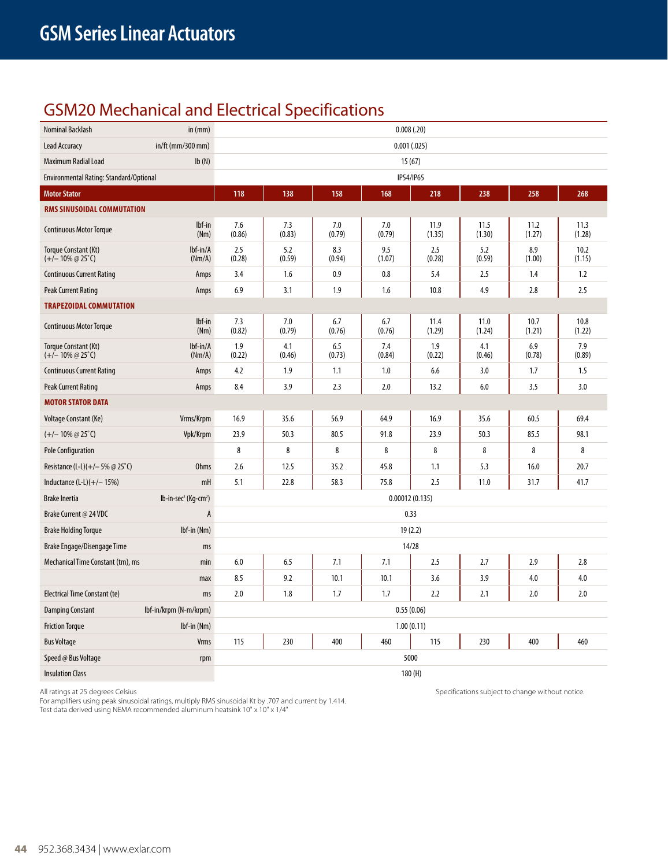## GSM20 Mechanical and Electrical Specifications

| Nominal Backlash                                             | in $(mm)$                                       |               |               |               |               | 0.008(.20)     |                |                |                |  |
|--------------------------------------------------------------|-------------------------------------------------|---------------|---------------|---------------|---------------|----------------|----------------|----------------|----------------|--|
| <b>Lead Accuracy</b>                                         | in/ft (mm/300 mm)                               |               |               |               | 0.001(.025)   |                |                |                |                |  |
| Maximum Radial Load                                          | Ib(N)                                           |               |               |               |               | 15(67)         |                |                |                |  |
| Environmental Rating: Standard/Optional                      |                                                 |               |               |               |               | IP54/IP65      |                |                |                |  |
| <b>Motor Stator</b>                                          |                                                 | 118           | 138           | 158           | 168           | 218            | 238            | 258            | 268            |  |
| RMS SINUSOIDAL COMMUTATION                                   |                                                 |               |               |               |               |                |                |                |                |  |
| <b>Continuous Motor Torque</b>                               | lbf-in<br>(Nm)                                  | 7.6<br>(0.86) | 7.3<br>(0.83) | 7.0<br>(0.79) | 7.0<br>(0.79) | 11.9<br>(1.35) | 11.5<br>(1.30) | 11.2<br>(1.27) | 11.3<br>(1.28) |  |
| Torque Constant (Kt)<br>$(+/- 10\% \text{ @ } 25^{\circ}$ C) | lbf-in/A<br>(Nm/A)                              | 2.5<br>(0.28) | 5.2<br>(0.59) | 8.3<br>(0.94) | 9.5<br>(1.07) | 2.5<br>(0.28)  | 5.2<br>(0.59)  | 8.9<br>(1.00)  | 10.2<br>(1.15) |  |
| <b>Continuous Current Rating</b>                             | Amps                                            | 3.4           | 1.6           | 0.9           | 0.8           | 5.4            | 2.5            | 1.4            | 1.2            |  |
| <b>Peak Current Rating</b>                                   | Amps                                            | 6.9           | 3.1           | 1.9           | 1.6           | 10.8           | 4.9            | 2.8            | 2.5            |  |
| <b>TRAPEZOIDAL COMMUTATION</b>                               |                                                 |               |               |               |               |                |                |                |                |  |
| <b>Continuous Motor Torque</b>                               | lbf-in<br>(Nm)                                  | 7.3<br>(0.82) | 7.0<br>(0.79) | 6.7<br>(0.76) | 6.7<br>(0.76) | 11.4<br>(1.29) | 11.0<br>(1.24) | 10.7<br>(1.21) | 10.8<br>(1.22) |  |
| Torque Constant (Kt)<br>$(+/- 10\% \text{ @ } 25^{\circ}$ C) | $Ibf-in/A$<br>(Nm/A)                            | 1.9<br>(0.22) | 4.1<br>(0.46) | 6.5<br>(0.73) | 7.4<br>(0.84) | 1.9<br>(0.22)  | 4.1<br>(0.46)  | 6.9<br>(0.78)  | 7.9<br>(0.89)  |  |
| <b>Continuous Current Rating</b>                             | Amps                                            | 4.2           | 1.9           | 1.1           | 1.0           | 6.6            | 3.0            | 1.7            | 1.5            |  |
| Peak Current Rating                                          | Amps                                            | 8.4           | 3.9           | 2.3           | 2.0           | 13.2           | 6.0            | 3.5            | 3.0            |  |
| <b>MOTOR STATOR DATA</b>                                     |                                                 |               |               |               |               |                |                |                |                |  |
| Voltage Constant (Ke)                                        | Vrms/Krpm                                       | 16.9          | 35.6          | 56.9          | 64.9          | 16.9           | 35.6           | 60.5           | 69.4           |  |
| $(+/- 10\% \text{ @ } 25^{\circ}$ C)                         | Vpk/Krpm                                        | 23.9          | 50.3          | 80.5          | 91.8          | 23.9           | 50.3           | 85.5           | 98.1           |  |
| <b>Pole Configuration</b>                                    |                                                 | 8             | 8             | 8             | 8             | 8              | 8              | 8              | 8              |  |
| Resistance (L-L)(+/-5% @ 25°C)                               | <b>Ohms</b>                                     | 2.6           | 12.5          | 35.2          | 45.8          | 1.1            | 5.3            | 16.0           | 20.7           |  |
| Inductance $(L-L)(+/- 15%)$                                  | mH                                              | 5.1           | 22.8          | 58.3          | 75.8          | 2.5            | 11.0           | 31.7           | 41.7           |  |
| <b>Brake Inertia</b>                                         | $lb$ -in-sec <sup>2</sup> (Kg-cm <sup>2</sup> ) |               |               |               |               | 0.00012(0.135) |                |                |                |  |
| Brake Current @ 24 VDC                                       | А                                               |               |               |               |               | 0.33           |                |                |                |  |
| <b>Brake Holding Torque</b>                                  | Ibf-in (Nm)                                     |               |               |               |               | 19(2.2)        |                |                |                |  |
| Brake Engage/Disengage Time                                  | ms                                              |               |               |               |               | 14/28          |                |                |                |  |
| Mechanical Time Constant (tm), ms                            | min                                             | 6.0           | 6.5           | 7.1           | 7.1           | 2.5            | 2.7            | 2.9            | 2.8            |  |
|                                                              | max                                             | 8.5           | 9.2           | 10.1          | 10.1          | 3.6            | 3.9            | 4.0            | 4.0            |  |
| Electrical Time Constant (te)                                | ms                                              | 2.0           | 1.8           | 1.7           | 1.7           | 2.2            | 2.1            | 2.0            | 2.0            |  |
| <b>Damping Constant</b>                                      | Ibf-in/krpm (N-m/krpm)                          | 0.55(0.06)    |               |               |               |                |                |                |                |  |
| <b>Friction Torque</b>                                       | Ibf-in (Nm)                                     | 1.00(0.11)    |               |               |               |                |                |                |                |  |
| <b>Bus Voltage</b>                                           | <b>Vrms</b>                                     | 115           | 230           | 400           | 460           | 115            | 230            | 400            | 460            |  |
| Speed @ Bus Voltage                                          | rpm                                             |               |               |               |               | 5000           |                |                |                |  |
| <b>Insulation Class</b>                                      |                                                 |               |               | 180(H)        |               |                |                |                |                |  |

For amplifiers using peak sinusoidal ratings, multiply RMS sinusoidal Kt by .707 and current by 1.414. Test data derived using NEMA recommended aluminum heatsink 10" x 10" x 1/4"

All ratings at 25 degrees Celsius Specifications subject to change without notice.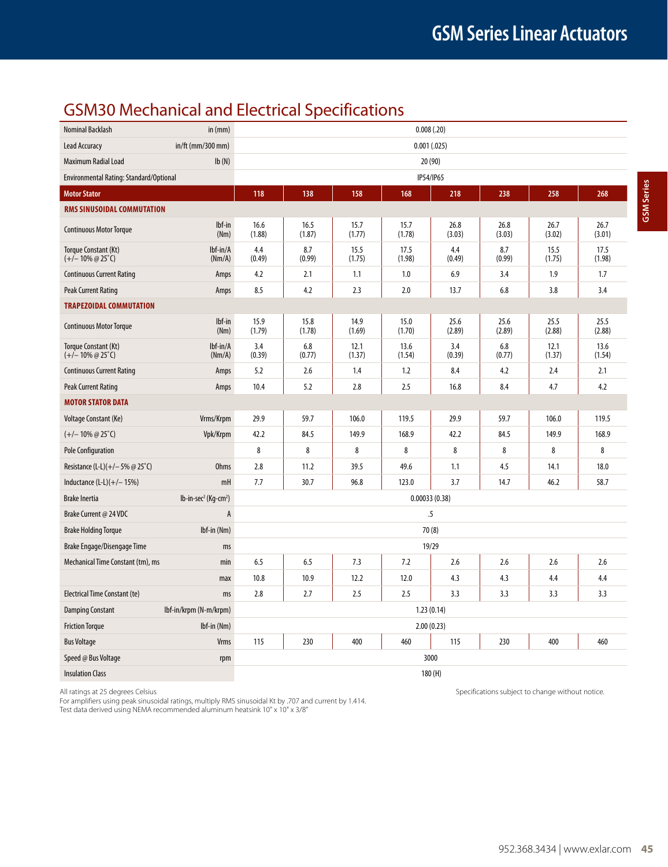## GSM30 Mechanical and Electrical Specifications

| <b>Nominal Backlash</b>                                      | in (mm)                                         |                                                      |                |                | 0.008(.20)     |                |                |                |                |
|--------------------------------------------------------------|-------------------------------------------------|------------------------------------------------------|----------------|----------------|----------------|----------------|----------------|----------------|----------------|
| <b>Lead Accuracy</b>                                         | $in/ft$ (mm/300 mm)                             |                                                      |                |                | 0.001(.025)    |                |                |                |                |
| Maximum Radial Load                                          | Ib(N)                                           |                                                      |                |                | 20 (90)        |                |                |                |                |
| Environmental Rating: Standard/Optional                      |                                                 |                                                      |                |                | IP54/IP65      |                |                |                |                |
| <b>Motor Stator</b>                                          |                                                 | 118                                                  | 138            | 158            | 168            | 218            | 238            | 258            | 268            |
| RMS SINUSOIDAL COMMUTATION                                   |                                                 |                                                      |                |                |                |                |                |                |                |
| <b>Continuous Motor Torque</b>                               | lbf-in<br>(Nm)                                  | 16.6<br>(1.88)                                       | 16.5<br>(1.87) | 15.7<br>(1.77) | 15.7<br>(1.78) | 26.8<br>(3.03) | 26.8<br>(3.03) | 26.7<br>(3.02) | 26.7<br>(3.01) |
| Torque Constant (Kt)<br>$(+/- 10\% \text{ @ } 25^{\circ}$ C) | lbf-in/A<br>(Nm/A)                              | 4.4<br>(0.49)                                        | 8.7<br>(0.99)  | 15.5<br>(1.75) | 17.5<br>(1.98) | 4.4<br>(0.49)  | 8.7<br>(0.99)  | 15.5<br>(1.75) | 17.5<br>(1.98) |
| <b>Continuous Current Rating</b>                             | Amps                                            | 4.2                                                  | 2.1            | 1.1            | 1.0            | 6.9            | 3.4            | 1.9            | 1.7            |
| <b>Peak Current Rating</b>                                   | Amps                                            | 8.5                                                  | 4.2            | 2.3            | 2.0            | 13.7           | 6.8            | 3.8            | 3.4            |
| <b>TRAPEZOIDAL COMMUTATION</b>                               |                                                 |                                                      |                |                |                |                |                |                |                |
| <b>Continuous Motor Torque</b>                               | lbf-in<br>(Nm)                                  | 15.9<br>(1.79)                                       | 15.8<br>(1.78) | 14.9<br>(1.69) | 15.0<br>(1.70) | 25.6<br>(2.89) | 25.6<br>(2.89) | 25.5<br>(2.88) | 25.5<br>(2.88) |
| Torque Constant (Kt)<br>$(+/- 10\% \omega 25^{\circ}C)$      | lbf-in/A<br>(Nm/A)                              | 3.4<br>(0.39)                                        | 6.8<br>(0.77)  | 12.1<br>(1.37) | 13.6<br>(1.54) | 3.4<br>(0.39)  | 6.8<br>(0.77)  | 12.1<br>(1.37) | 13.6<br>(1.54) |
| <b>Continuous Current Rating</b>                             | Amps                                            | 5.2                                                  | 2.6            | 1.4            | 1.2            | 8.4            | 4.2            | 2.4            | 2.1            |
| <b>Peak Current Rating</b>                                   | Amps                                            | 10.4                                                 | 5.2            | 2.8            | 2.5            | 16.8           | 8.4            | 4.7            | 4.2            |
| <b>MOTOR STATOR DATA</b>                                     |                                                 |                                                      |                |                |                |                |                |                |                |
| Voltage Constant (Ke)                                        | Vrms/Krpm                                       | 29.9                                                 | 59.7           | 106.0          | 119.5          | 29.9           | 59.7           | 106.0          | 119.5          |
| $(+/- 10\% \ @ 25\degree C)$                                 | Vpk/Krpm                                        | 42.2                                                 | 84.5           | 149.9          | 168.9          | 42.2           | 84.5           | 149.9          | 168.9          |
| <b>Pole Configuration</b>                                    |                                                 | 8                                                    | 8              | 8              | 8              | 8              | 8              | 8              | 8              |
| Resistance (L-L)(+/-5% @ 25°C)                               | <b>Ohms</b>                                     | 2.8                                                  | 11.2           | 39.5           | 49.6           | 1.1            | 4.5            | 14.1           | 18.0           |
| Inductance $(L-L)(+/- 15%)$                                  | mH                                              | 7.7                                                  | 30.7           | 96.8           | 123.0          | 3.7            | 14.7           | 46.2           | 58.7           |
| <b>Brake Inertia</b>                                         | $lb$ -in-sec <sup>2</sup> (Kg-cm <sup>2</sup> ) |                                                      |                |                | 0.00033(0.38)  |                |                |                |                |
| Brake Current @ 24 VDC                                       | A                                               |                                                      |                |                |                | $\overline{5}$ |                |                |                |
| <b>Brake Holding Torque</b>                                  | Ibf-in (Nm)                                     |                                                      |                |                | 70(8)          |                |                |                |                |
| Brake Engage/Disengage Time                                  | ms                                              |                                                      |                |                |                | 19/29          |                |                |                |
| Mechanical Time Constant (tm), ms                            | min                                             | 6.5                                                  | 6.5            | 7.3            | 7.2            | 2.6            | 2.6            | 2.6            | 2.6            |
|                                                              | max                                             | 10.8                                                 | 10.9           | 12.2           | 12.0           | 4.3            | 4.3            | 4.4            | 4.4            |
| <b>Electrical Time Constant (te)</b>                         | ms                                              | 2.8                                                  | 2.7            | 2.5            | 2.5            | 3.3            | 3.3            | 3.3            | 3.3            |
| <b>Damping Constant</b>                                      | lbf-in/krpm (N-m/krpm)                          | 1.23(0.14)                                           |                |                |                |                |                |                |                |
| <b>Friction Torque</b>                                       | Ibf-in (Nm)                                     | 2.00(0.23)                                           |                |                |                |                |                |                |                |
| <b>Bus Voltage</b>                                           | Vrms                                            | 115<br>230<br>400<br>460<br>115<br>230<br>400<br>460 |                |                |                |                |                |                |                |
| Speed @ Bus Voltage                                          | rpm                                             |                                                      |                |                | 3000           |                |                |                |                |
| <b>Insulation Class</b>                                      |                                                 |                                                      |                |                |                | 180(H)         |                |                |                |

For amplifiers using peak sinusoidal ratings, multiply RMS sinusoidal Kt by .707 and current by 1.414. Test data derived using NEMA recommended aluminum heatsink 10" x 10" x 3/8"

All ratings at 25 degrees Celsius Specifications subject to change without notice.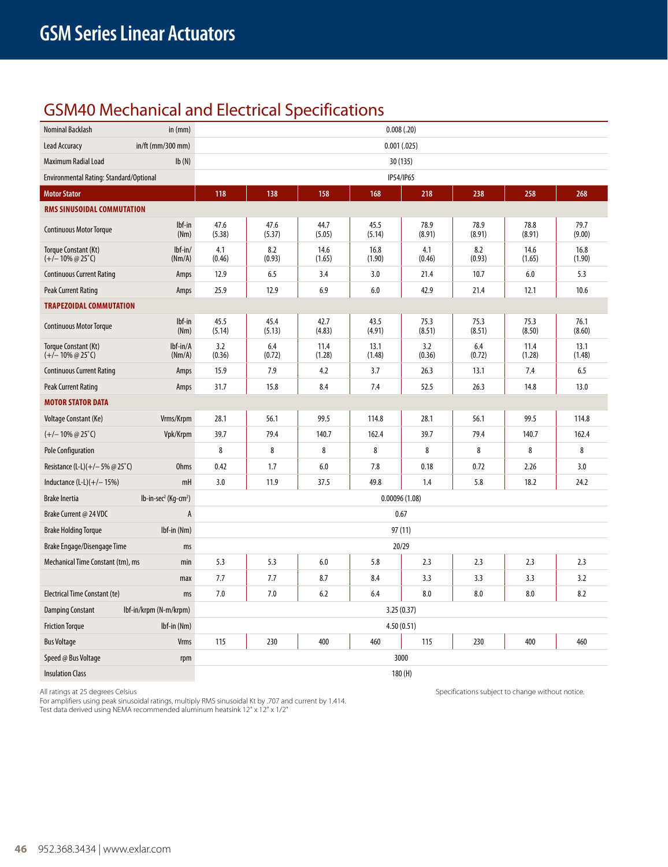## GSM40 Mechanical and Electrical Specifications

| Nominal Backlash                                             | in $(mm)$                                       |                |                |                | 0.008(.20)     |                |                |                |                |  |
|--------------------------------------------------------------|-------------------------------------------------|----------------|----------------|----------------|----------------|----------------|----------------|----------------|----------------|--|
| <b>Lead Accuracy</b>                                         | in/ft (mm/300 mm)                               |                |                |                | 0.001(.025)    |                |                |                |                |  |
| Maximum Radial Load                                          | Ib(N)                                           |                | 30 (135)       |                |                |                |                |                |                |  |
| Environmental Rating: Standard/Optional                      |                                                 |                |                |                | IP54/IP65      |                |                |                |                |  |
| <b>Motor Stator</b>                                          |                                                 | 118            | 138            | 158            | 168            | 218            | 238            | 258            | 268            |  |
| RMS SINUSOIDAL COMMUTATION                                   |                                                 |                |                |                |                |                |                |                |                |  |
| <b>Continuous Motor Torque</b>                               | lbf-in<br>(Nm)                                  | 47.6<br>(5.38) | 47.6<br>(5.37) | 44.7<br>(5.05) | 45.5<br>(5.14) | 78.9<br>(8.91) | 78.9<br>(8.91) | 78.8<br>(8.91) | 79.7<br>(9.00) |  |
| Torque Constant (Kt)<br>$(+/- 10\% \text{ @ } 25^{\circ}$ C) | $lbf-in/$<br>(Nm/A)                             | 4.1<br>(0.46)  | 8.2<br>(0.93)  | 14.6<br>(1.65) | 16.8<br>(1.90) | 4.1<br>(0.46)  | 8.2<br>(0.93)  | 14.6<br>(1.65) | 16.8<br>(1.90) |  |
| <b>Continuous Current Rating</b>                             | Amps                                            | 12.9           | 6.5            | 3.4            | 3.0            | 21.4           | 10.7           | 6.0            | 5.3            |  |
| Peak Current Rating                                          | Amps                                            | 25.9           | 12.9           | 6.9            | 6.0            | 42.9           | 21.4           | 12.1           | 10.6           |  |
| <b>TRAPEZOIDAL COMMUTATION</b>                               |                                                 |                |                |                |                |                |                |                |                |  |
| <b>Continuous Motor Torque</b>                               | lbf-in<br>(Nm)                                  | 45.5<br>(5.14) | 45.4<br>(5.13) | 42.7<br>(4.83) | 43.5<br>(4.91) | 75.3<br>(8.51) | 75.3<br>(8.51) | 75.3<br>(8.50) | 76.1<br>(8.60) |  |
| Torque Constant (Kt)<br>$(+/- 10\% \text{ @ } 25^{\circ}$ C) | $Ibf-in/A$<br>(Nm/A)                            | 3.2<br>(0.36)  | 6.4<br>(0.72)  | 11.4<br>(1.28) | 13.1<br>(1.48) | 3.2<br>(0.36)  | 6.4<br>(0.72)  | 11.4<br>(1.28) | 13.1<br>(1.48) |  |
| <b>Continuous Current Rating</b>                             | Amps                                            | 15.9           | 7.9            | 4.2            | 3.7            | 26.3           | 13.1           | 7.4            | 6.5            |  |
| Peak Current Rating                                          | Amps                                            | 31.7           | 15.8           | 8.4            | 7.4            | 52.5           | 26.3           | 14.8           | 13.0           |  |
| <b>MOTOR STATOR DATA</b>                                     |                                                 |                |                |                |                |                |                |                |                |  |
| Voltage Constant (Ke)                                        | Vrms/Krpm                                       | 28.1           | 56.1           | 99.5           | 114.8          | 28.1           | 56.1           | 99.5           | 114.8          |  |
| $(+/- 10\% \text{ @ } 25^{\circ}$ C)                         | Vpk/Krpm                                        | 39.7           | 79.4           | 140.7          | 162.4          | 39.7           | 79.4           | 140.7          | 162.4          |  |
| <b>Pole Configuration</b>                                    |                                                 | 8              | 8              | 8              | 8              | 8              | 8              | 8              | 8              |  |
| Resistance (L-L)(+/-5% @ 25°C)                               | <b>Ohms</b>                                     | 0.42           | 1.7            | 6.0            | 7.8            | 0.18           | 0.72           | 2.26           | 3.0            |  |
| Inductance $(L-L)(+/- 15%)$                                  | mH                                              | 3.0            | 11.9           | 37.5           | 49.8           | 1.4            | 5.8            | 18.2           | 24.2           |  |
| <b>Brake Inertia</b>                                         | $lb$ -in-sec <sup>2</sup> (Kg-cm <sup>2</sup> ) |                |                |                | 0.00096(1.08)  |                |                |                |                |  |
| Brake Current @ 24 VDC                                       | A                                               |                |                |                | 0.67           |                |                |                |                |  |
| <b>Brake Holding Torque</b>                                  | Ibf-in (Nm)                                     |                |                |                | 97(11)         |                |                |                |                |  |
| Brake Engage/Disengage Time                                  | ms                                              |                |                |                | 20/29          |                |                |                |                |  |
| Mechanical Time Constant (tm), ms                            | min                                             | 5.3            | 5.3            | 6.0            | 5.8            | 2.3            | 2.3            | 2.3            | 2.3            |  |
|                                                              | max                                             | 7.7            | 7.7            | 8.7            | 8.4            | 3.3            | 3.3            | 3.3            | 3.2            |  |
| <b>Electrical Time Constant (te)</b>                         | ms                                              | 7.0            | 7.0            | 6.2            | 6.4            | 8.0            | 8.0            | 8.0            | 8.2            |  |
| <b>Damping Constant</b>                                      | Ibf-in/krpm (N-m/krpm)                          | 3.25(0.37)     |                |                |                |                |                |                |                |  |
| <b>Friction Torque</b>                                       | $Ibf$ -in (Nm)                                  | 4.50(0.51)     |                |                |                |                |                |                |                |  |
| <b>Bus Voltage</b>                                           | <b>Vrms</b>                                     | 115            | 230            | 400            | 460            | 115            | 230            | 400            | 460            |  |
| Speed @ Bus Voltage                                          | rpm                                             |                |                |                | 3000           |                |                |                |                |  |
| <b>Insulation Class</b>                                      |                                                 |                |                |                |                | 180(H)         |                |                |                |  |

For amplifiers using peak sinusoidal ratings, multiply RMS sinusoidal Kt by .707 and current by 1.414. Test data derived using NEMA recommended aluminum heatsink 12" x 12" x 1/2"

All ratings at 25 degrees Celsius Specifications subject to change without notice.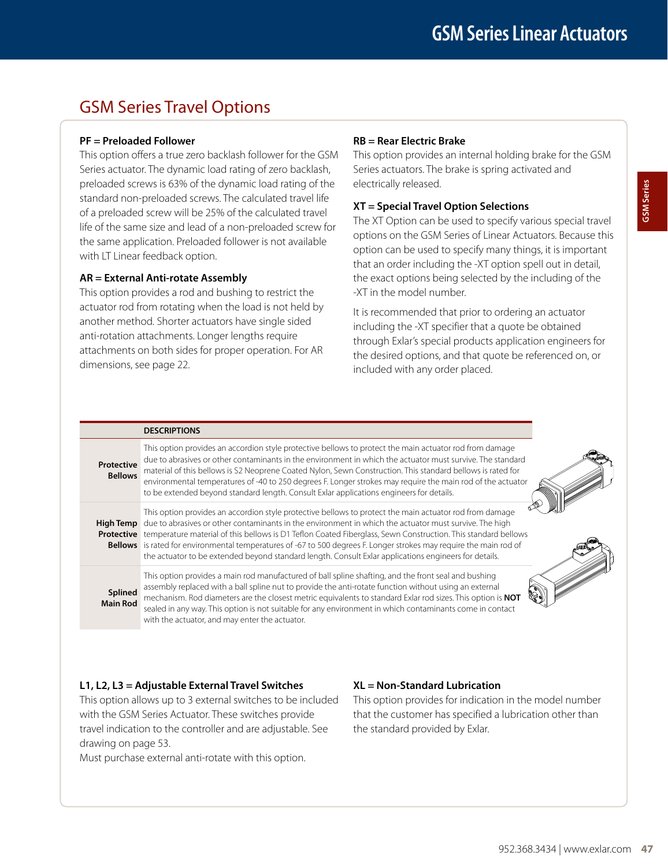## GSM Series Travel Options

## **PF = Preloaded Follower**

This option offers a true zero backlash follower for the GSM Series actuator. The dynamic load rating of zero backlash, preloaded screws is 63% of the dynamic load rating of the standard non-preloaded screws. The calculated travel life of a preloaded screw will be 25% of the calculated travel life of the same size and lead of a non-preloaded screw for the same application. Preloaded follower is not available with LT Linear feedback option.

## **AR = External Anti-rotate Assembly**

This option provides a rod and bushing to restrict the actuator rod from rotating when the load is not held by another method. Shorter actuators have single sided anti-rotation attachments. Longer lengths require attachments on both sides for proper operation. For AR dimensions, see page 22.

## **RB = Rear Electric Brake**

This option provides an internal holding brake for the GSM Series actuators. The brake is spring activated and electrically released.

## **XT = Special Travel Option Selections**

The XT Option can be used to specify various special travel options on the GSM Series of Linear Actuators. Because this option can be used to specify many things, it is important that an order including the -XT option spell out in detail, the exact options being selected by the including of the -XT in the model number.

It is recommended that prior to ordering an actuator including the -XT specifier that a quote be obtained through Exlar's special products application engineers for the desired options, and that quote be referenced on, or included with any order placed.

|                              | <b>DESCRIPTIONS</b>                                                                                                                                                                                                                                                                                                                                                                                                                                                                                                                                                                            |
|------------------------------|------------------------------------------------------------------------------------------------------------------------------------------------------------------------------------------------------------------------------------------------------------------------------------------------------------------------------------------------------------------------------------------------------------------------------------------------------------------------------------------------------------------------------------------------------------------------------------------------|
| Protective<br><b>Bellows</b> | This option provides an accordion style protective bellows to protect the main actuator rod from damage<br>due to abrasives or other contaminants in the environment in which the actuator must survive. The standard<br>material of this bellows is S2 Neoprene Coated Nylon, Sewn Construction. This standard bellows is rated for<br>environmental temperatures of -40 to 250 degrees F. Longer strokes may require the main rod of the actuator<br>to be extended beyond standard length. Consult Exlar applications engineers for details.                                                |
|                              | This option provides an accordion style protective bellows to protect the main actuator rod from damage<br>High Temp due to abrasives or other contaminants in the environment in which the actuator must survive. The high<br>Protective temperature material of this bellows is D1 Teflon Coated Fiberglass, Sewn Construction. This standard bellows<br><b>Bellows</b> is rated for environmental temperatures of -67 to 500 degrees F. Longer strokes may require the main rod of<br>the actuator to be extended beyond standard length. Consult Exlar applications engineers for details. |
| Splined<br><b>Main Rod</b>   | This option provides a main rod manufactured of ball spline shafting, and the front seal and bushing<br>assembly replaced with a ball spline nut to provide the anti-rotate function without using an external<br>mechanism. Rod diameters are the closest metric equivalents to standard Exlar rod sizes. This option is NOT<br>sealed in any way. This option is not suitable for any environment in which contaminants come in contact<br>with the actuator, and may enter the actuator.                                                                                                    |

## **L1, L2, L3 = Adjustable External Travel Switches**

This option allows up to 3 external switches to be included with the GSM Series Actuator. These switches provide travel indication to the controller and are adjustable. See drawing on page 53.

Must purchase external anti-rotate with this option.

## **XL = Non-Standard Lubrication**

This option provides for indication in the model number that the customer has specified a lubrication other than the standard provided by Exlar.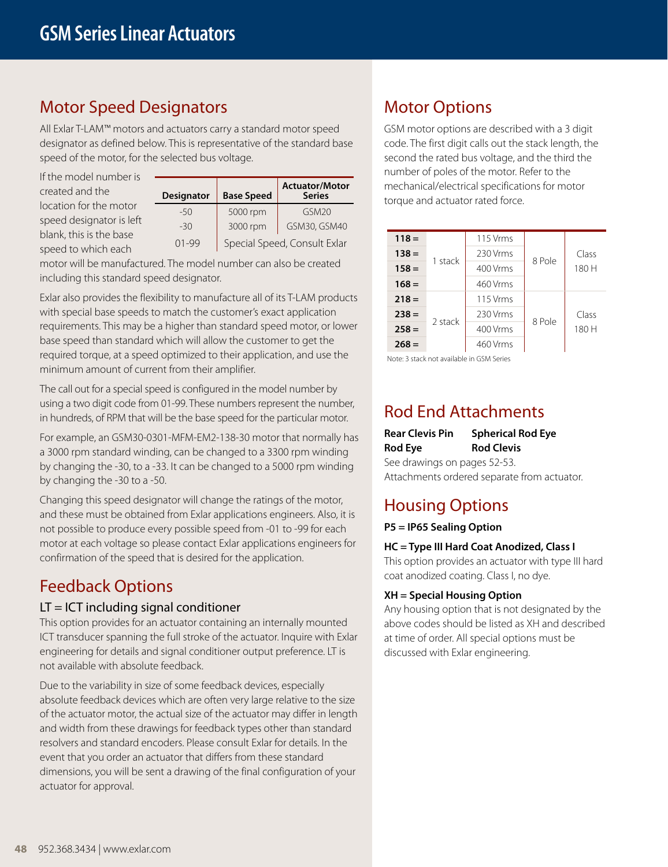## Motor Speed Designators

All Exlar T-LAM™ motors and actuators carry a standard motor speed designator as defined below. This is representative of the standard base speed of the motor, for the selected bus voltage.

If the model number is created and the location for the motor speed designator is left blank, this is the base speed to which each

|                                        |          |                                        |                    | TIULLIDEI |
|----------------------------------------|----------|----------------------------------------|--------------------|-----------|
| <b>Base Speed</b><br><b>Designator</b> |          | <b>Actuator/Motor</b><br><b>Series</b> | mechar<br>torque a |           |
| $-50$                                  | 5000 rpm | GSM <sub>20</sub>                      |                    |           |
| $-30$                                  | 3000 rpm | GSM30, GSM40                           |                    |           |
| $01 - 99$                              |          | Special Speed, Consult Exlar           |                    | $118 =$   |
|                                        |          |                                        |                    |           |

motor will be manufactured. The model number can also be created including this standard speed designator.

Exlar also provides the flexibility to manufacture all of its T-LAM products with special base speeds to match the customer's exact application requirements. This may be a higher than standard speed motor, or lower base speed than standard which will allow the customer to get the required torque, at a speed optimized to their application, and use the minimum amount of current from their amplifier.

The call out for a special speed is configured in the model number by using a two digit code from 01-99. These numbers represent the number, in hundreds, of RPM that will be the base speed for the particular motor.

For example, an GSM30-0301-MFM-EM2-138-30 motor that normally has a 3000 rpm standard winding, can be changed to a 3300 rpm winding by changing the -30, to a -33. It can be changed to a 5000 rpm winding by changing the -30 to a -50.

Changing this speed designator will change the ratings of the motor, and these must be obtained from Exlar applications engineers. Also, it is not possible to produce every possible speed from -01 to -99 for each motor at each voltage so please contact Exlar applications engineers for confirmation of the speed that is desired for the application.

## Feedback Options

## $LT = ICT$  including signal conditioner

This option provides for an actuator containing an internally mounted ICT transducer spanning the full stroke of the actuator. Inquire with Exlar engineering for details and signal conditioner output preference. LT is not available with absolute feedback.

Due to the variability in size of some feedback devices, especially absolute feedback devices which are often very large relative to the size of the actuator motor, the actual size of the actuator may differ in length and width from these drawings for feedback types other than standard resolvers and standard encoders. Please consult Exlar for details. In the event that you order an actuator that differs from these standard dimensions, you will be sent a drawing of the final configuration of your actuator for approval.

## Motor Options

GSM motor options are described with a 3 digit code. The first digit calls out the stack length, the second the rated bus voltage, and the third the number of poles of the motor. Refer to the mechanical/electrical specifications for motor torque and actuator rated force.

| $118 =$ |         | 115 Vrms |        |                |  |  |
|---------|---------|----------|--------|----------------|--|--|
| $138 =$ |         | 230 Vrms | 8 Pole | Class<br>180 H |  |  |
| $158 =$ | 1 stack | 400 Vrms |        |                |  |  |
| $168 =$ |         | 460 Vrms |        |                |  |  |
| $218 =$ |         | 115 Vrms |        |                |  |  |
| $238 =$ |         | 230 Vrms | 8 Pole | Class          |  |  |
| $258 =$ | 2 stack | 400 Vrms |        | 180 H          |  |  |
| $268 =$ |         | 460 Vrms |        |                |  |  |
|         |         |          |        |                |  |  |

Note: 3 stack not available in GSM Series

## Rod End Attachments

**Rear Clevis Pin Spherical Rod Eye Rod Eye Rod Clevis** See drawings on pages 52-53. Attachments ordered separate from actuator.

## Housing Options

**P5 = IP65 Sealing Option**

## **HC = Type III Hard Coat Anodized, Class I**

This option provides an actuator with type III hard coat anodized coating. Class I, no dye.

## **XH = Special Housing Option**

Any housing option that is not designated by the above codes should be listed as XH and described at time of order. All special options must be discussed with Exlar engineering.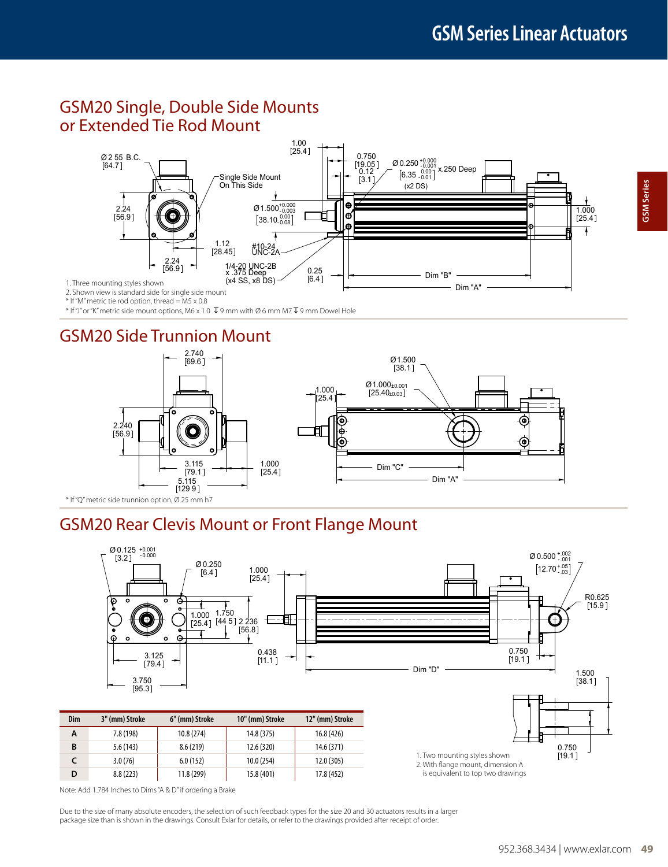## GSM20 Single, Double Side Mounts or Extended Tie Rod Mount



\* If "M" metric tie rod option, thread = M5 x 0.8

 $*$  If "J" or "K" metric side mount options, M6 x 1.0  $\bar{\Psi}$  9 mm with Ø 6 mm M7  $\bar{\Psi}$  9 mm Dowel Hole

## GSM20 Side Trunnion Mount



## GSM20 Rear Clevis Mount or Front Flange Mount



**GSM Series GSM Series**

Note: Add 1.784 Inches to Dims "A & D" if ordering a Brake

Due to the size of many absolute encoders, the selection of such feedback types for the size 20 and 30 actuators results in a larger package size than is shown in the drawings. Consult Exlar for details, or refer to the drawings provided after receipt of order.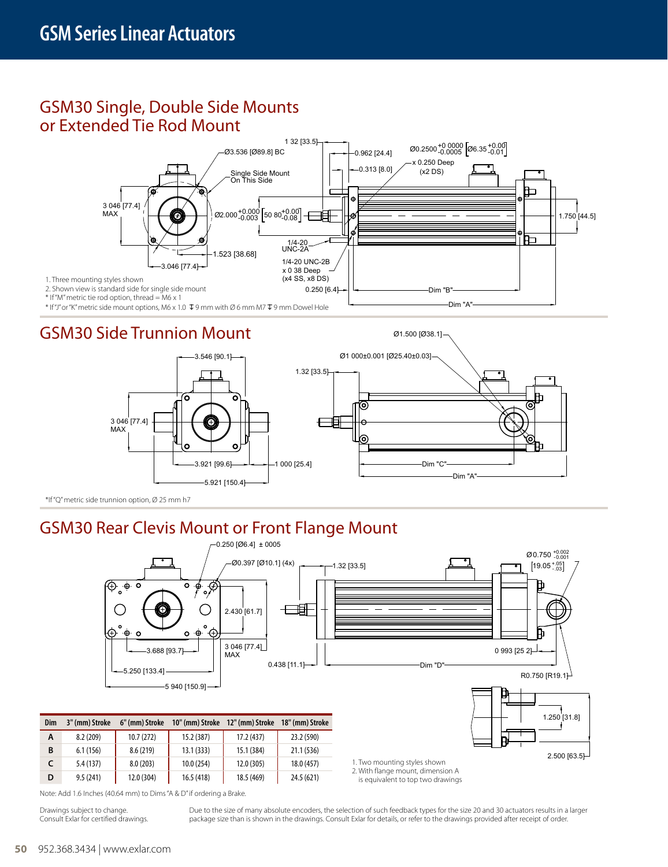## GSM30 Single, Double Side Mounts or Extended Tie Rod Mount



## GSM30 Side Trunnion Mount



Ø1.500 [Ø38.1]

\*If "Q" metric side trunnion option, Ø 25 mm h7

## GSM30 Rear Clevis Mount or Front Flange Mount



|  |  | Note: Add 1.6 Inches (40.64 mm) to Dims "A & D" if ordering a Brake. |  |
|--|--|----------------------------------------------------------------------|--|

**C** 5.4 (137) 8.0 (203) 10.0 (254) 12.0 (305) 18.0 (457) **D** 9.5 (241) 12.0 (304) 16.5 (418) 18.5 (469) 24.5 (621)

Drawings subject to change. Consult Exlar for certified drawings. Due to the size of many absolute encoders, the selection of such feedback types for the size 20 and 30 actuators results in a larger package size than is shown in the drawings. Consult Exlar for details, or refer to the drawings provided after receipt of order.

1. Two mounting styles shown 2. With flange mount, dimension A is equivalent to top two drawings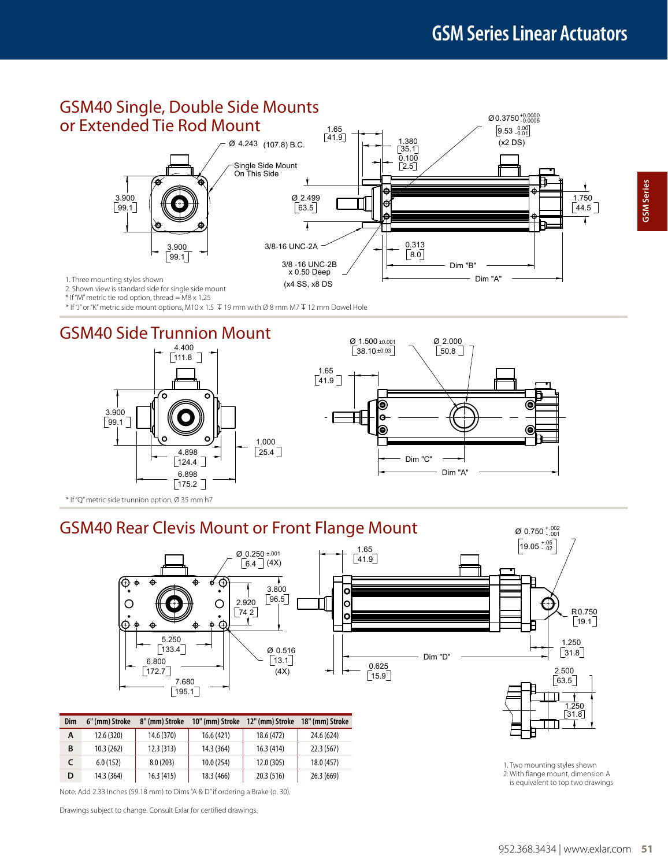

\* If "M" metric tie rod option, thread = M8 x 1.25

\* If "J" or "K" metric side mount options, M10 x 1.5  $\bar{\psi}$  19 mm with Ø 8 mm M7  $\bar{\psi}$  12 mm Dowel Hole







\* If "Q" metric side trunnion option, Ø 35 mm h7

## GSM40 Rear Clevis Mount or Front Flange Mount



| Dim | 6" (mm) Stroke | 8" (mm) Stroke | 10" (mm) Stroke | 12" (mm) Stroke | 18" (mm) Stroke |
|-----|----------------|----------------|-----------------|-----------------|-----------------|
| Α   | 12.6 (320)     | 14.6 (370)     | 16.6(421)       | 18.6 (472)      | 24.6 (624)      |
| B   | 10.3(262)      | 12.3(313)      | 14.3 (364)      | 16.3(414)       | 22.3(567)       |
| c   | 6.0(152)       | 8.0(203)       | 10.0(254)       | 12.0 (305)      | 18.0 (457)      |
| D   | 14.3 (364)     | 16.3(415)      | 18.3 (466)      | 20.3 (516)      | 26.3(669)       |

Note: Add 2.33 Inches (59.18 mm) to Dims "A & D" if ordering a Brake (p. 30).

Drawings subject to change. Consult Exlar for certified drawings.

 $\varnothing$  0.750  $^{+.002}_{-.001}$ 

- 1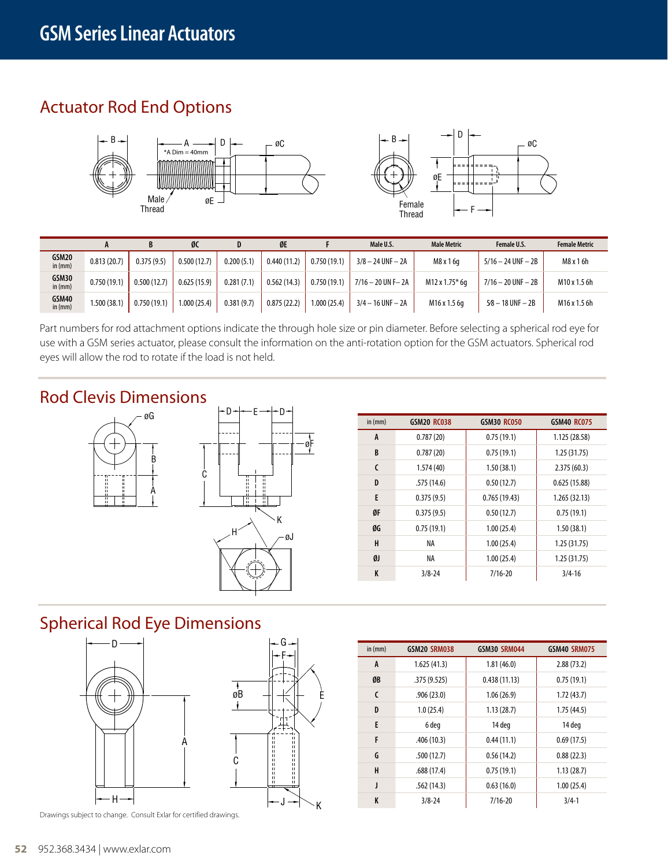## Actuator Rod End Options





|                    |              | D           | ØC          |            | ØE          |              | Male U.S.             | <b>Male Metric</b> | Female U.S.            | <b>Female Metric</b> |
|--------------------|--------------|-------------|-------------|------------|-------------|--------------|-----------------------|--------------------|------------------------|----------------------|
| GSM20<br>in $(mm)$ | 0.813(20.7)  | 0.375(9.5)  | 0.500(12.7) | 0.200(5.1) | 0.440(11.2) | 0.750(19.1)  | $3/8 - 24$ UNF $- 2A$ | M8 x 1 6q          | $5/16 - 24$ UNF $- 2B$ | M8 x 1 6h            |
| GSM30<br>in $(mm)$ | 0.750(19.1)  | 0.500(12.7) | 0.625(15.9) | 0.281(7.1) | 0.562(14.3) | 0.750(19.1)  | $7/16 - 20$ UN F-2A   | M12 x 1.75* 6q     | $7/16 - 20$ UNF $- 2B$ | M10 x 1.5 6h         |
| GSM40<br>in $(mm)$ | 1.500 (38.1) | 0.750(19.1) | 1.000(25.4) | 0.381(9.7) | 0.875(22.2) | 1.000 (25.4) | $3/4 - 16$ UNF $- 2A$ | M16 x 1.5 6g       | $5/8 - 18$ UNF $- 2B$  | M16 x 1.5 6h         |

Part numbers for rod attachment options indicate the through hole size or pin diameter. Before selecting a spherical rod eye for use with a GSM series actuator, please consult the information on the anti-rotation option for the GSM actuators. Spherical rod eyes will allow the rod to rotate if the load is not held.

 $\mathsf{K}$ 

E

## Rod Clevis Dimensions D





| in $(mm)$ | <b>GSM20 RC038</b> | <b>GSM30 RC050</b> | <b>GSM40 RC075</b> |
|-----------|--------------------|--------------------|--------------------|
| A         | 0.787(20)          | 0.75(19.1)         | 1.125 (28.58)      |
| B         | 0.787(20)          | 0.75(19.1)         | 1.25(31.75)        |
| C         | 1.574(40)          | 1.50(38.1)         | 2.375(60.3)        |
| D         | .575(14.6)         | 0.50(12.7)         | 0.625(15.88)       |
| E         | 0.375(9.5)         | 0.765(19.43)       | 1.265 (32.13)      |
| ØF        | 0.375(9.5)         | 0.50(12.7)         | 0.75(19.1)         |
| ØG        | 0.75(19.1)         | 1.00(25.4)         | 1.50(38.1)         |
| н         | ΝA                 | 1.00(25.4)         | 1.25(31.75)        |
| ØJ        | ΝA                 | 1.00(25.4)         | 1.25(31.75)        |
| K         | $3/8 - 24$         | $7/16 - 20$        | $3/4 - 16$         |

## Spherical Rod Eye Dimensions



Drawings subject to change. Consult Exlar for certified drawings.

| in $(mm)$ | <b>GSM20 SRM038</b> | GSM30 SRM044 | <b>GSM40 SRM075</b> |
|-----------|---------------------|--------------|---------------------|
| A         | 1.625(41.3)         | 1.81(46.0)   | 2.88(73.2)          |
| ØB        | .375(9.525)         | 0.438(11.13) | 0.75(19.1)          |
| C         | .906(23.0)          | 1.06(26.9)   | 1.72(43.7)          |
| D         | 1.0(25.4)           | 1.13(28.7)   | 1.75(44.5)          |
| E         | 6 deg               | 14 deg       | 14 deg              |
| F         | .406(10.3)          | 0.44(11.1)   | 0.69(17.5)          |
| G         | .500(12.7)          | 0.56(14.2)   | 0.88(22.3)          |
| H         | .688(17.4)          | 0.75(19.1)   | 1.13(28.7)          |
| J         | .562(14.3)          | 0.63(16.0)   | 1.00(25.4)          |
| K         | $3/8 - 24$          | $7/16 - 20$  | $3/4-1$             |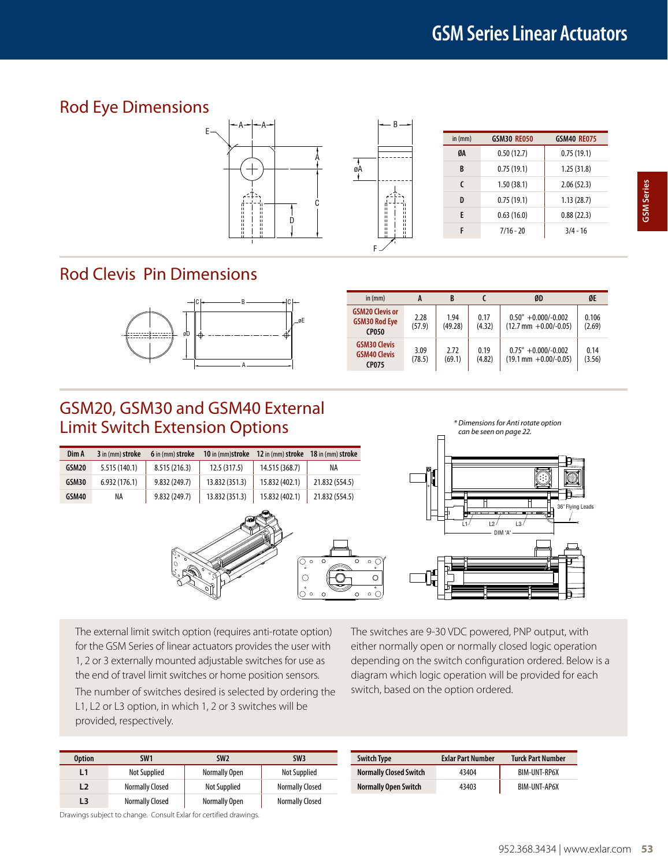## Rod Eye Dimensions



## Rod Clevis Pin Dimensions



| in (mm)                                                        | A              | B               |                | ØD                                                         | ØE              |
|----------------------------------------------------------------|----------------|-----------------|----------------|------------------------------------------------------------|-----------------|
| <b>GSM20 Clevis or</b><br><b>GSM30 Rod Eye</b><br><b>CP050</b> | 2.28<br>(57.9) | 1.94<br>(49.28) | 0.17<br>(4.32) | $0.50" + 0.000/-0.002$<br>$(12.7 \text{ mm} + 0.00/-0.05)$ | 0.106<br>(2.69) |
| <b>GSM30 Clevis</b><br><b>GSM40 Clevis</b><br><b>CP075</b>     | 3.09<br>(78.5) | 2.72<br>(69.1)  | 0.19<br>(4.82) | $0.75" + 0.000/-0.002$<br>$(19.1 \text{ mm} + 0.00/-0.05)$ | 0.14<br>(3.56)  |

## GSM20, GSM30 and GSM40 External Limit Switch Extension Options

| Dim A | 3 in (mm) stroke | 6 in (mm) stroke | 10 in (mm)stroke | 12 in (mm) stroke 18 in (mm) stroke |                |
|-------|------------------|------------------|------------------|-------------------------------------|----------------|
| GSM20 | 5.515(140.1)     | 8.515(216.3)     | 12.5(317.5)      | 14.515 (368.7)                      | ΝA             |
| GSM30 | 6.932(176.1)     | 9.832 (249.7)    | 13.832 (351.3)   | 15.832 (402.1)                      | 21.832 (554.5) |
| GSM40 | NA               | 9.832 (249.7)    | 13.832 (351.3)   | 15.832 (402.1)                      | 21.832 (554.5) |



*\* Dimensions for Anti rotate option can be seen on page 22.*



The external limit switch option (requires anti-rotate option) for the GSM Series of linear actuators provides the user with 1, 2 or 3 externally mounted adjustable switches for use as the end of travel limit switches or home position sensors.

The number of switches desired is selected by ordering the L1, L2 or L3 option, in which 1, 2 or 3 switches will be provided, respectively.

The switches are 9-30 VDC powered, PNP output, with either normally open or normally closed logic operation depending on the switch configuration ordered. Below is a diagram which logic operation will be provided for each switch, based on the option ordered.

| Option         | SW <sub>1</sub>        | SW <sub>2</sub> | SW <sub>3</sub>        | <b>Switch Type</b>            | <b>Exlar Part Number</b> | Turck Part Number   |
|----------------|------------------------|-----------------|------------------------|-------------------------------|--------------------------|---------------------|
|                | <b>Not Supplied</b>    | Normally Open   | Not Supplied           | <b>Normally Closed Switch</b> | 43404                    | BIM-UNT-RP6X        |
|                | <b>Normally Closed</b> | Not Supplied    | <b>Normally Closed</b> | <b>Normally Open Switch</b>   | 43403                    | <b>BIM-UNT-AP6X</b> |
| L <sub>3</sub> | <b>Normally Closed</b> | Normally Open   | <b>Normally Closed</b> |                               |                          |                     |

Drawings subject to change. Consult Exlar for certified drawings.

| <b>Switch Type</b>            | <b>Exlar Part Number</b> | <b>Turck Part Number</b> |  |  |
|-------------------------------|--------------------------|--------------------------|--|--|
| <b>Normally Closed Switch</b> | 43404                    | BIM-UNT-RP6X             |  |  |
| <b>Normally Open Switch</b>   | 43403                    | BIM-UNT-AP6X             |  |  |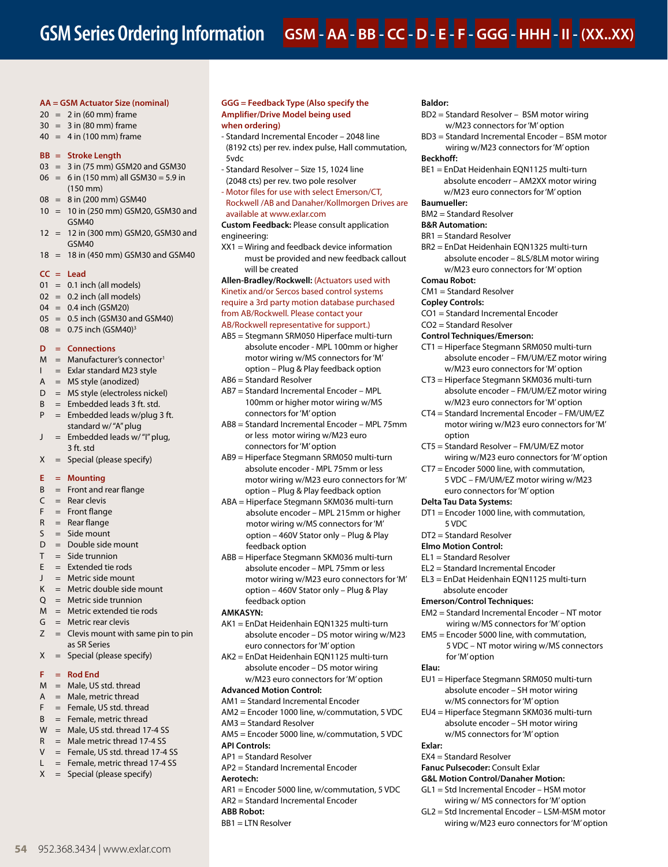#### **AA = GSM Actuator Size (nominal)**

- $20 = 2$  in (60 mm) frame
- $30 = 3$  in (80 mm) frame
- $40 = 4$  in (100 mm) frame

### **BB = Stroke Length**

- 03 = 3 in (75 mm) GSM20 and GSM30
- $06 = 6$  in (150 mm) all GSM30 = 5.9 in (150 mm)
- 08 = 8 in (200 mm) GSM40
- 10 = 10 in (250 mm) GSM20, GSM30 and GSM40
- 12 = 12 in (300 mm) GSM20, GSM30 and GSM40
- 18 = 18 in (450 mm) GSM30 and GSM40

#### **CC = Lead**

- $01 = 0.1$  inch (all models)
- $02 = 0.2$  inch (all models)
- 04 = 0.4 inch (GSM20)
- $05 = 0.5$  inch (GSM30 and GSM40)
- $08 = 0.75$  inch (GSM40)<sup>3</sup>

### **D = Connections**

- $M =$  Manufacturer's connector<sup>1</sup><br> $L =$  Fxlar standard M23 style
- $=$  Exlar standard M23 style
- $A = MS$  style (anodized)
- D = MS style (electroless nickel)  $B =$  Embedded leads 3 ft. std.
- $P =$  Embedded leads w/plug 3 ft.
- standard w/ "A" plug  $J =$  Embedded leads w/"I" plug,
- 3 ft. std
- $X =$  Special (please specify)

### **E = Mounting**

- $B =$  Front and rear flange
- $C =$  Rear clevis
- $F =$  Front flange
- $R =$ Rear flange  $S = Side$  mount
- D = Double side mount
- $T =$ Side trunnion
- $E =$  Extended tie rods
- $J =$  Metric side mount
- $K =$  Metric double side mount
- $Q =$  Metric side trunnion
- M = Metric extended tie rods
- $G =$  Metric rear clevis
- $Z =$  Clevis mount with same pin to pin as SR Series
- $X =$  Special (please specify)

#### **F = Rod End**

- $M =$  Male, US std. thread
- $A = Male$ , metric thread
- $F =$  Female, US std. thread
- $B =$  Female, metric thread
- $W =$  Male, US std. thread 17-4 SS
- $R =$  Male metric thread 17-4 SS
- $V =$  Female, US std. thread 17-4 SS
- $L =$  Female, metric thread 17-4 SS
- $X =$  Special (please specify)

**54** 952.368.3434 | www.exlar.com

## **GGG = Feedback Type (Also specify the Amplifier/Drive Model being used**

## **when ordering)**

- Standard Incremental Encoder 2048 line (8192 cts) per rev. index pulse, Hall commutation, 5vdc
- Standard Resolver Size 15, 1024 line (2048 cts) per rev. two pole resolver
- Motor files for use with select Emerson/CT, Rockwell /AB and Danaher/Kollmorgen Drives are available at www.exlar.com

**Custom Feedback:** Please consult application engineering:

XX1 = Wiring and feedback device information must be provided and new feedback callout will be created

**Allen-Bradley/Rockwell:** (Actuators used with Kinetix and/or Sercos based control systems require a 3rd party motion database purchased from AB/Rockwell. Please contact your

### AB/Rockwell representative for support.)

- AB5 = Stegmann SRM050 Hiperface multi-turn absolute encoder - MPL 100mm or higher motor wiring w/MS connectors for 'M' option – Plug & Play feedback option
- AB6 = Standard Resolver
- AB7 = Standard Incremental Encoder MPL 100mm or higher motor wiring w/MS connectors for 'M' option
- AB8 = Standard Incremental Encoder MPL 75mm or less motor wiring w/M23 euro connectors for 'M' option
- AB9 = Hiperface Stegmann SRM050 multi-turn absolute encoder - MPL 75mm or less motor wiring w/M23 euro connectors for 'M' option – Plug & Play feedback option
- ABA = Hiperface Stegmann SKM036 multi-turn absolute encoder – MPL 215mm or higher motor wiring w/MS connectors for 'M' option – 460V Stator only – Plug & Play feedback option
- ABB = Hiperface Stegmann SKM036 multi-turn absolute encoder – MPL 75mm or less motor wiring w/M23 euro connectors for 'M' option – 460V Stator only – Plug & Play feedback option

### **AMKASYN:**

- AK1 = EnDat Heidenhain EQN1325 multi-turn absolute encoder – DS motor wiring w/M23 euro connectors for 'M' option
- AK2 = EnDat Heidenhain EQN1125 multi-turn absolute encoder – DS motor wiring w/M23 euro connectors for 'M' option

### **Advanced Motion Control:**

- AM1 = Standard Incremental Encoder
- AM2 = Encoder 1000 line, w/commutation, 5 VDC
- AM3 = Standard Resolver
- AM5 = Encoder 5000 line, w/commutation, 5 VDC
- **API Controls:**
	- AP1 = Standard Resolver AP2 = Standard Incremental Encoder
	-
	- **Aerotech:**
	- AR1 = Encoder 5000 line, w/commutation, 5 VDC AR2 = Standard Incremental Encoder
	- **ABB Robot:**
	- BB1 = LTN Resolver

### **Baldor:**

- BD2 = Standard Resolver BSM motor wiring w/M23 connectors for 'M' option
- BD3 = Standard Incremental Encoder BSM motor wiring w/M23 connectors for 'M' option

#### **Beckhoff:**

BE1 = EnDat Heidenhain EQN1125 multi-turn absolute encoderr – AM2XX motor wiring w/M23 euro connectors for 'M' option

### **Baumueller:**

BM2 = Standard Resolver

### **B&R Automation:**

- BR1 = Standard Resolver
- BR2 = EnDat Heidenhain EQN1325 multi-turn absolute encoder – 8LS/8LM motor wiring w/M23 euro connectors for 'M' option

#### **Comau Robot:**

- CM1 = Standard Resolver
- **Copley Controls:**

option

**Delta Tau Data Systems:**

5 VDC DT2 = Standard Resolver **Elmo Motion Control:** EL1 = Standard Resolver

- CO1 = Standard Incremental Encoder
- CO2 = Standard Resolver
- **Control Techniques/Emerson:**
- CT1 = Hiperface Stegmann SRM050 multi-turn absolute encoder – FM/UM/EZ motor wiring w/M23 euro connectors for 'M' option

absolute encoder – FM/UM/EZ motor wiring w/M23 euro connectors for 'M' option CT4 = Standard Incremental Encoder – FM/UM/EZ motor wiring w/M23 euro connectors for 'M'

wiring w/M23 euro connectors for 'M' option

CT3 = Hiperface Stegmann SKM036 multi-turn

CT5 = Standard Resolver – FM/UM/EZ motor

CT7 = Encoder 5000 line, with commutation, 5 VDC – FM/UM/EZ motor wiring w/M23 euro connectors for 'M' option

DT1 = Encoder 1000 line, with commutation,

EM2 = Standard Incremental Encoder – NT motor wiring w/MS connectors for 'M' option EM5 = Encoder 5000 line, with commutation,

EU1 = Hiperface Stegmann SRM050 multi-turn absolute encoder – SH motor wiring w/MS connectors for 'M' option EU4 = Hiperface Stegmann SKM036 multi-turn absolute encoder – SH motor wiring w/MS connectors for 'M' option

5 VDC – NT motor wiring w/MS connectors

EL2 = Standard Incremental Encoder EL3 = EnDat Heidenhain EQN1125 multi-turn

absolute encoder **Emerson/Control Techniques:**

for 'M' option

EX4 = Standard Resolver **Fanuc Pulsecoder:** Consult Exlar **G&L Motion Control/Danaher Motion:** GL1 = Std Incremental Encoder – HSM motor wiring w/ MS connectors for 'M' option GL2 = Std Incremental Encoder – LSM-MSM motor wiring w/M23 euro connectors for 'M' option

**Elau:**

**Exlar:**